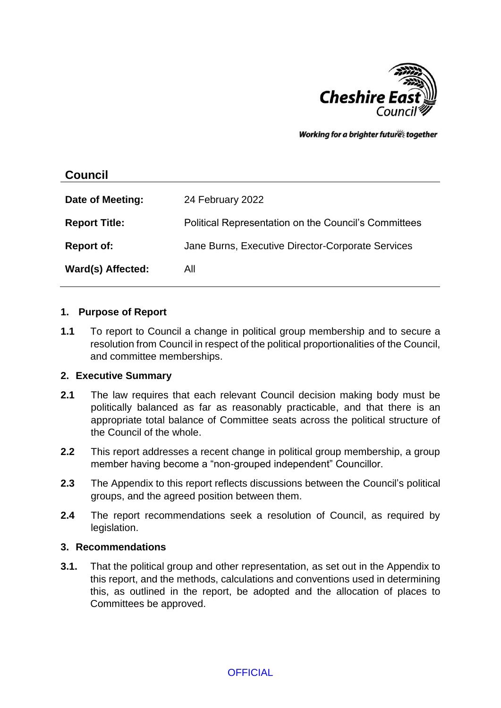

Working for a brighter futures together

# **Council**

| Date of Meeting:     | 24 February 2022                                     |
|----------------------|------------------------------------------------------|
| <b>Report Title:</b> | Political Representation on the Council's Committees |
| <b>Report of:</b>    | Jane Burns, Executive Director-Corporate Services    |
| Ward(s) Affected:    | All                                                  |

#### **1. Purpose of Report**

**1.1** To report to Council a change in political group membership and to secure a resolution from Council in respect of the political proportionalities of the Council, and committee memberships.

## **2. Executive Summary**

- **2.1** The law requires that each relevant Council decision making body must be politically balanced as far as reasonably practicable, and that there is an appropriate total balance of Committee seats across the political structure of the Council of the whole.
- **2.2** This report addresses a recent change in political group membership, a group member having become a "non-grouped independent" Councillor.
- **2.3** The Appendix to this report reflects discussions between the Council's political groups, and the agreed position between them.
- **2.4** The report recommendations seek a resolution of Council, as required by legislation.

#### **3. Recommendations**

**3.1.** That the political group and other representation, as set out in the Appendix to this report, and the methods, calculations and conventions used in determining this, as outlined in the report, be adopted and the allocation of places to Committees be approved.

**OFFICIAL**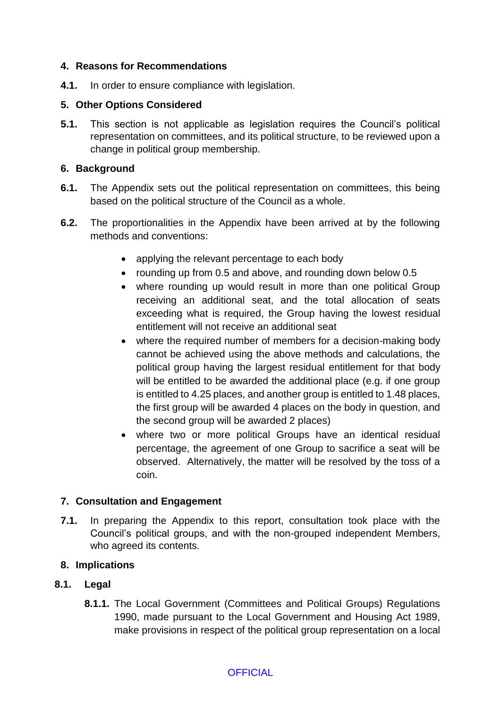## **4. Reasons for Recommendations**

**4.1.** In order to ensure compliance with legislation.

## **5. Other Options Considered**

**5.1.** This section is not applicable as legislation requires the Council's political representation on committees, and its political structure, to be reviewed upon a change in political group membership.

## **6. Background**

- **6.1.** The Appendix sets out the political representation on committees, this being based on the political structure of the Council as a whole.
- **6.2.** The proportionalities in the Appendix have been arrived at by the following methods and conventions:
	- applying the relevant percentage to each body
	- rounding up from 0.5 and above, and rounding down below 0.5
	- where rounding up would result in more than one political Group receiving an additional seat, and the total allocation of seats exceeding what is required, the Group having the lowest residual entitlement will not receive an additional seat
	- where the required number of members for a decision-making body cannot be achieved using the above methods and calculations, the political group having the largest residual entitlement for that body will be entitled to be awarded the additional place (e.g. if one group is entitled to 4.25 places, and another group is entitled to 1.48 places, the first group will be awarded 4 places on the body in question, and the second group will be awarded 2 places)
	- where two or more political Groups have an identical residual percentage, the agreement of one Group to sacrifice a seat will be observed. Alternatively, the matter will be resolved by the toss of a coin.

# **7. Consultation and Engagement**

**7.1.** In preparing the Appendix to this report, consultation took place with the Council's political groups, and with the non-grouped independent Members, who agreed its contents.

# **8. Implications**

# **8.1. Legal**

**8.1.1.** The Local Government (Committees and Political Groups) Regulations 1990, made pursuant to the Local Government and Housing Act 1989, make provisions in respect of the political group representation on a local

# **OFFICIAL**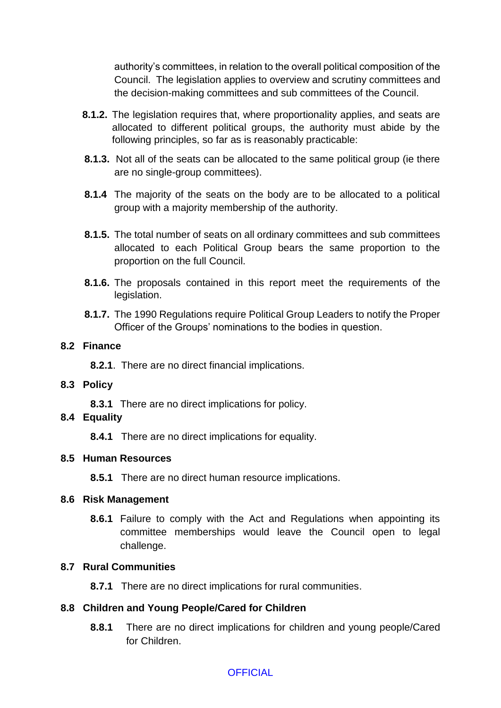authority's committees, in relation to the overall political composition of the Council. The legislation applies to overview and scrutiny committees and the decision-making committees and sub committees of the Council.

- **8.1.2.** The legislation requires that, where proportionality applies, and seats are allocated to different political groups, the authority must abide by the following principles, so far as is reasonably practicable:
- **8.1.3.** Not all of the seats can be allocated to the same political group (ie there are no single-group committees).
- **8.1.4** The majority of the seats on the body are to be allocated to a political group with a majority membership of the authority.
- **8.1.5.** The total number of seats on all ordinary committees and sub committees allocated to each Political Group bears the same proportion to the proportion on the full Council.
- **8.1.6.** The proposals contained in this report meet the requirements of the legislation.
- **8.1.7.** The 1990 Regulations require Political Group Leaders to notify the Proper Officer of the Groups' nominations to the bodies in question.

## **8.2 Finance**

**8.2.1**. There are no direct financial implications.

## **8.3 Policy**

**8.3.1** There are no direct implications for policy.

## **8.4 Equality**

**8.4.1** There are no direct implications for equality.

## **8.5 Human Resources**

**8.5.1** There are no direct human resource implications.

## **8.6 Risk Management**

**8.6.1** Failure to comply with the Act and Regulations when appointing its committee memberships would leave the Council open to legal challenge.

## **8.7 Rural Communities**

**8.7.1** There are no direct implications for rural communities.

# **8.8 Children and Young People/Cared for Children**

**8.8.1** There are no direct implications for children and young people/Cared for Children.

# **OFFICIAL**